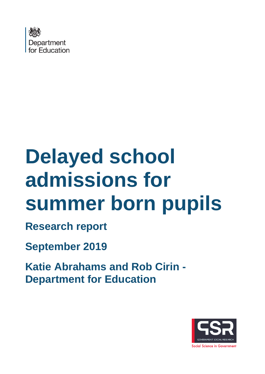

# **Delayed school admissions for summer born pupils**

**Research report**

**September 2019**

**Katie Abrahams and Rob Cirin - Department for Education**

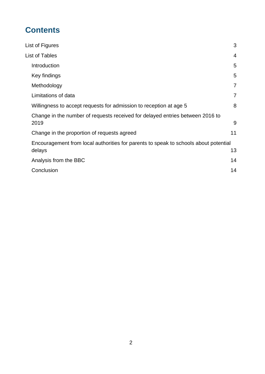## **Contents**

| List of Figures                                                                      |                |
|--------------------------------------------------------------------------------------|----------------|
| List of Tables                                                                       |                |
| Introduction                                                                         | 5              |
| Key findings                                                                         | 5              |
| Methodology                                                                          | $\overline{7}$ |
| Limitations of data                                                                  | $\overline{7}$ |
| Willingness to accept requests for admission to reception at age 5                   | 8              |
| Change in the number of requests received for delayed entries between 2016 to        |                |
| 2019                                                                                 | 9              |
| Change in the proportion of requests agreed                                          | 11             |
| Encouragement from local authorities for parents to speak to schools about potential |                |
| delays                                                                               | 13             |
| Analysis from the BBC                                                                | 14             |
| Conclusion                                                                           | 14             |
|                                                                                      |                |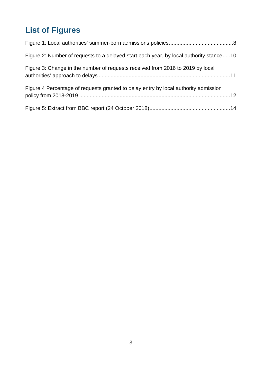# <span id="page-2-0"></span>**List of Figures**

| Figure 2: Number of requests to a delayed start each year, by local authority stance10 |  |
|----------------------------------------------------------------------------------------|--|
| Figure 3: Change in the number of requests received from 2016 to 2019 by local         |  |
| Figure 4 Percentage of requests granted to delay entry by local authority admission    |  |
|                                                                                        |  |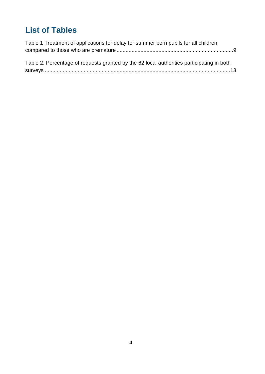# <span id="page-3-0"></span>**List of Tables**

| Table 1 Treatment of applications for delay for summer born pupils for all children       |  |
|-------------------------------------------------------------------------------------------|--|
|                                                                                           |  |
| Table 2: Percentage of requests granted by the 62 local authorities participating in both |  |
|                                                                                           |  |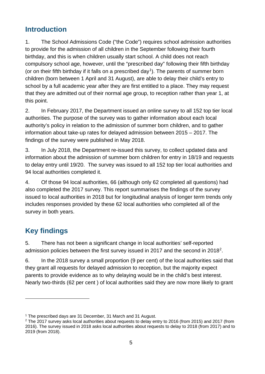## <span id="page-4-0"></span>**Introduction**

1. The School Admissions Code ("the Code") requires school admission authorities to provide for the admission of all children in the September following their fourth birthday, and this is when children usually start school. A child does not reach compulsory school age, however, until the "prescribed day" following their fifth birthday (or on their fifth birthday if it falls on a prescribed day<sup>[1](#page-4-2)</sup>). The parents of summer born children (born between 1 April and 31 August), are able to delay their child's entry to school by a full academic year after they are first entitled to a place. They may request that they are admitted out of their normal age group, to reception rather than year 1, at this point.

2. In February 2017, the Department issued an online survey to all 152 top tier local authorities. The purpose of the survey was to gather information about each local authority's policy in relation to the admission of summer born children, and to gather information about take-up rates for delayed admission between 2015 – 2017. The findings of the survey were published in May 2018.

3. In July 2018, the Department re-issued this survey, to collect updated data and information about the admission of summer born children for entry in 18/19 and requests to delay entry until 19/20. The survey was issued to all 152 top tier local authorities and 94 local authorities completed it.

4. Of those 94 local authorities, 66 (although only 62 completed all questions) had also completed the 2017 survey. This report summarises the findings of the survey issued to local authorities in 2018 but for longitudinal analysis of longer term trends only includes responses provided by these 62 local authorities who completed all of the survey in both years.

## <span id="page-4-1"></span>**Key findings**

 $\overline{a}$ 

5. There has not been a significant change in local authorities' self-reported admission policies between the first survey issued in 2017 and the second in 2018[2.](#page-4-3)

6. In the 2018 survey a small proportion (9 per cent) of the local authorities said that they grant all requests for delayed admission to reception, but the majority expect parents to provide evidence as to why delaying would be in the child's best interest. Nearly two-thirds (62 per cent ) of local authorities said they are now more likely to grant

<span id="page-4-2"></span><sup>&</sup>lt;sup>1</sup> The prescribed days are 31 December, 31 March and 31 August.

<span id="page-4-3"></span><sup>&</sup>lt;sup>2</sup> The 2017 survey asks local authorities about requests to delay entry to 2016 (from 2015) and 2017 (from 2016). The survey issued in 2018 asks local authorities about requests to delay to 2018 (from 2017) and to 2019 (from 2018).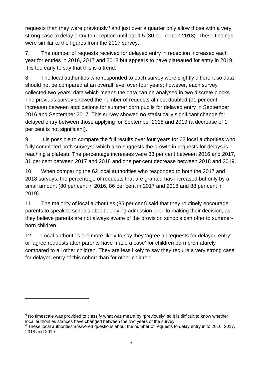requests than they were previously<sup>[3](#page-5-0)</sup> and just over a quarter only allow those with a very strong case to delay entry to reception until aged 5 (30 per cent in 2018). These findings were similar to the figures from the 2017 survey.

7. The number of requests received for delayed entry in reception increased each year for entries in 2016, 2017 and 2018 but appears to have plateaued for entry in 2019. It is too early to say that this is a trend.

8. The local authorities who responded to each survey were slightly different so data should not be compared at an overall level over four years; however, each survey collected two years' data which means the data can be analysed in two discrete blocks. The previous survey showed the number of requests almost doubled (91 per cent increase) between applications for summer born pupils for delayed entry in September 2016 and September 2017. This survey showed no statistically significant change for delayed entry between those applying for September 2018 and 2019 (a decrease of 1 per cent is not significant).

9. It is possible to compare the full results over four years for 62 local authorities who fully completed both surveys<sup>[4](#page-5-1)</sup> which also suggests the growth in requests for delays is reaching a plateau. The percentage increases were 83 per cent between 2016 and 2017, 31 per cent between 2017 and 2018 and one per cent decrease between 2018 and 2019.

10. When comparing the 62 local authorities who responded to both the 2017 and 2018 surveys, the percentage of requests that are granted has increased but only by a small amount (80 per cent in 2016, 86 per cent in 2017 and 2018 and 88 per cent in 2019).

11. The majority of local authorities (85 per cent) said that they routinely encourage parents to speak to schools about delaying admission prior to making their decision, as they believe parents are not always aware of the provision schools can offer to summerborn children.

12. Local authorities are more likely to say they 'agree all requests for delayed entry' or 'agree requests after parents have made a case' for children born prematurely compared to all other children. They are less likely to say they require a very strong case for delayed entry of this cohort than for other children.

 $\overline{a}$ 

<span id="page-5-0"></span><sup>&</sup>lt;sup>3</sup> No timescale was provided to classify what was meant by "previously" so it is difficult to know whether local authorities stances have changed between the two years of the survey,

<span id="page-5-1"></span><sup>4</sup> These local authorities answered questions about the number of requests to delay entry in to 2016, 2017, 2018 and 2019.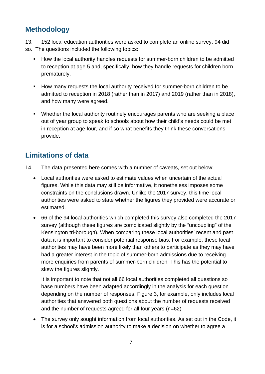## <span id="page-6-0"></span>**Methodology**

13. 152 local education authorities were asked to complete an online survey. 94 did so. The questions included the following topics:

- How the local authority handles requests for summer-born children to be admitted to reception at age 5 and, specifically, how they handle requests for children born prematurely.
- How many requests the local authority received for summer-born children to be admitted to reception in 2018 (rather than in 2017) and 2019 (rather than in 2018), and how many were agreed.
- Whether the local authority routinely encourages parents who are seeking a place out of year group to speak to schools about how their child's needs could be met in reception at age four, and if so what benefits they think these conversations provide.

## <span id="page-6-1"></span>**Limitations of data**

- 14. The data presented here comes with a number of caveats, set out below:
	- Local authorities were asked to estimate values when uncertain of the actual figures. While this data may still be informative, it nonetheless imposes some constraints on the conclusions drawn. Unlike the 2017 survey, this time local authorities were asked to state whether the figures they provided were accurate or estimated.
	- 66 of the 94 local authorities which completed this survey also completed the 2017 survey (although these figures are complicated slightly by the "uncoupling" of the Kensington tri-borough). When comparing these local authorities' recent and past data it is important to consider potential response bias. For example, these local authorities may have been more likely than others to participate as they may have had a greater interest in the topic of summer-born admissions due to receiving more enquiries from parents of summer-born children. This has the potential to skew the figures slightly.

It is important to note that not all 66 local authorities completed all questions so base numbers have been adapted accordingly in the analysis for each question depending on the number of responses. Figure 3, for example, only includes local authorities that answered both questions about the number of requests received and the number of requests agreed for all four years (n=62)

• The survey only sought information from local authorities. As set out in the Code, it is for a school's admission authority to make a decision on whether to agree a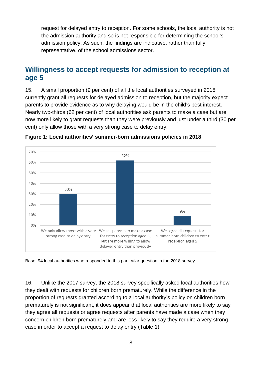request for delayed entry to reception. For some schools, the local authority is not the admission authority and so is not responsible for determining the school's admission policy. As such, the findings are indicative, rather than fully representative, of the school admissions sector.

### <span id="page-7-0"></span>**Willingness to accept requests for admission to reception at age 5**

15. A small proportion (9 per cent) of all the local authorities surveyed in 2018 currently grant all requests for delayed admission to reception, but the majority expect parents to provide evidence as to why delaying would be in the child's best interest. Nearly two-thirds (62 per cent) of local authorities ask parents to make a case but are now more likely to grant requests than they were previously and just under a third (30 per cent) only allow those with a very strong case to delay entry.



<span id="page-7-1"></span>

Base: 94 local authorities who responded to this particular question in the 2018 survey

16. Unlike the 2017 survey, the 2018 survey specifically asked local authorities how they dealt with requests for children born prematurely. While the difference in the proportion of requests granted according to a local authority's policy on children born prematurely is not significant, it does appear that local authorities are more likely to say they agree all requests or agree requests after parents have made a case when they concern children born prematurely and are less likely to say they require a very strong case in order to accept a request to delay entry (Table 1).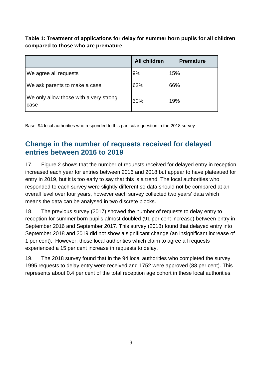<span id="page-8-1"></span>**Table 1: Treatment of applications for delay for summer born pupils for all children compared to those who are premature** 

|                                                | <b>All children</b> | <b>Premature</b> |
|------------------------------------------------|---------------------|------------------|
| We agree all requests                          | 9%                  | 15%              |
| We ask parents to make a case                  | 62%                 | 66%              |
| We only allow those with a very strong<br>case | 30%                 | 19%              |

Base: 94 local authorities who responded to this particular question in the 2018 survey

## <span id="page-8-0"></span>**Change in the number of requests received for delayed entries between 2016 to 2019**

17. Figure 2 shows that the number of requests received for delayed entry in reception increased each year for entries between 2016 and 2018 but appear to have plateaued for entry in 2019, but it is too early to say that this is a trend. The local authorities who responded to each survey were slightly different so data should not be compared at an overall level over four years, however each survey collected two years' data which means the data can be analysed in two discrete blocks.

18. The previous survey (2017) showed the number of requests to delay entry to reception for summer born pupils almost doubled (91 per cent increase) between entry in September 2016 and September 2017. This survey (2018) found that delayed entry into September 2018 and 2019 did not show a significant change (an insignificant increase of 1 per cent). However, those local authorities which claim to agree all requests experienced a 15 per cent increase in requests to delay.

19. The 2018 survey found that in the 94 local authorities who completed the survey 1995 requests to delay entry were received and 1752 were approved (88 per cent). This represents about 0.4 per cent of the total reception age cohort in these local authorities.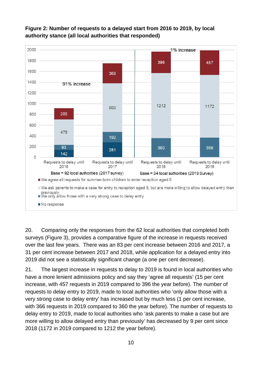

#### <span id="page-9-0"></span>**Figure 2: Number of requests to a delayed start from 2016 to 2019, by local authority stance (all local authorities that responded)**

20. Comparing only the responses from the 62 local authorities that completed both surveys (Figure 3), provides a comparative figure of the increase in requests received over the last few years. There was an 83 per cent increase between 2016 and 2017, a 31 per cent increase between 2017 and 2018, while application for a delayed entry into 2019 did not see a statistically significant change (a one per cent decrease).

21. The largest increase in requests to delay to 2019 is found in local authorities who have a more lenient admissions policy and say they 'agree all requests' (15 per cent increase, with 457 requests in 2019 compared to 396 the year before). The number of requests to delay entry to 2019, made to local authorities who 'only allow those with a very strong case to delay entry' has increased but by much less (1 per cent increase, with 366 requests in 2019 compared to 360 the year before). The number of requests to delay entry to 2019, made to local authorities who 'ask parents to make a case but are more willing to allow delayed entry than previously' has decreased by 9 per cent since 2018 (1172 in 2019 compared to 1212 the year before).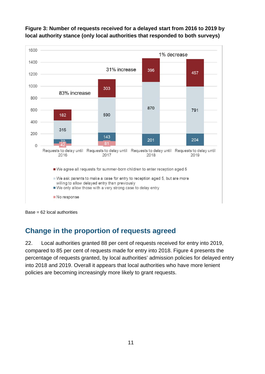

#### <span id="page-10-1"></span>**Figure 3: Number of requests received for a delayed start from 2016 to 2019 by local authority stance (only local authorities that responded to both surveys)**

Base = 62 local authorities

## <span id="page-10-0"></span>**Change in the proportion of requests agreed**

22. Local authorities granted 88 per cent of requests received for entry into 2019, compared to 85 per cent of requests made for entry into 2018. Figure 4 presents the percentage of requests granted, by local authorities' admission policies for delayed entry into 2018 and 2019. Overall it appears that local authorities who have more lenient policies are becoming increasingly more likely to grant requests.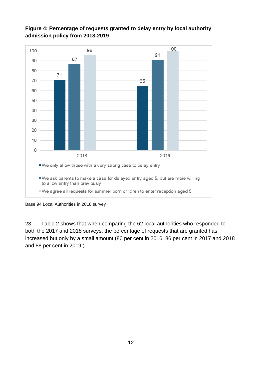

#### <span id="page-11-0"></span>**Figure 4: Percentage of requests granted to delay entry by local authority admission policy from 2018-2019**

Base 94 Local Authorities in 2018 survey

23. Table 2 shows that when comparing the 62 local authorities who responded to both the 2017 and 2018 surveys, the percentage of requests that are granted has increased but only by a small amount (80 per cent in 2016, 86 per cent in 2017 and 2018 and 88 per cent in 2019.)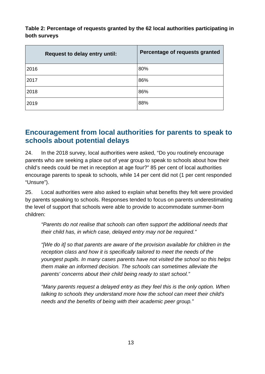<span id="page-12-1"></span>**Table 2: Percentage of requests granted by the 62 local authorities participating in both surveys**

| <b>Request to delay entry until:</b> | Percentage of requests granted |
|--------------------------------------|--------------------------------|
| 2016                                 | 80%                            |
| 2017                                 | 86%                            |
| 2018                                 | 86%                            |
| 2019                                 | 88%                            |

## <span id="page-12-0"></span>**Encouragement from local authorities for parents to speak to schools about potential delays**

24. In the 2018 survey, local authorities were asked, "Do you routinely encourage parents who are seeking a place out of year group to speak to schools about how their child's needs could be met in reception at age four?" 85 per cent of local authorities encourage parents to speak to schools, while 14 per cent did not (1 per cent responded "Unsure").

25. Local authorities were also asked to explain what benefits they felt were provided by parents speaking to schools. Responses tended to focus on parents underestimating the level of support that schools were able to provide to accommodate summer-born children:

*"Parents do not realise that schools can often support the additional needs that their child has, in which case, delayed entry may not be required."*

*"[We do it] so that parents are aware of the provision available for children in the reception class and how it is specifically tailored to meet the needs of the youngest pupils. In many cases parents have not visited the school so this helps them make an informed decision. The schools can sometimes alleviate the parents' concerns about their child being ready to start school."*

*"Many parents request a delayed entry as they feel this is the only option. When talking to schools they understand more how the school can meet their child's needs and the benefits of being with their academic peer group."*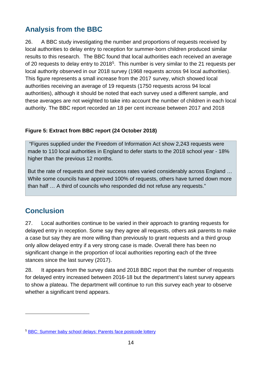## <span id="page-13-0"></span>**Analysis from the BBC**

26. A BBC study investigating the number and proportions of requests received by local authorities to delay entry to reception for summer-born children produced similar results to this research. The BBC found that local authorities each received an average of 20 requests to delay entry to 2018[5](#page-13-3). This number is very similar to the 21 requests per local authority observed in our 2018 survey (1968 requests across 94 local authorities). This figure represents a small increase from the 2017 survey, which showed local authorities receiving an average of 19 requests (1750 requests across 94 local authorities), although it should be noted that each survey used a different sample, and these averages are not weighted to take into account the number of children in each local authority. The BBC report recorded an 18 per cent increase between 2017 and 2018

#### <span id="page-13-2"></span>**Figure 5: Extract from BBC report (24 October 2018)**

"Figures supplied under the Freedom of Information Act show 2,243 requests were made to 110 local authorities in England to defer starts to the 2018 school year - 18% higher than the previous 12 months.

But the rate of requests and their success rates varied considerably across England … While some councils have approved 100% of requests, others have turned down more than half … A third of councils who responded did not refuse any requests."

## <span id="page-13-1"></span>**Conclusion**

 $\overline{a}$ 

27. Local authorities continue to be varied in their approach to granting requests for delayed entry in reception. Some say they agree all requests, others ask parents to make a case but say they are more willing than previously to grant requests and a third group only allow delayed entry if a very strong case is made. Overall there has been no significant change in the proportion of local authorities reporting each of the three stances since the last survey (2017).

28. It appears from the survey data and 2018 BBC report that the number of requests for delayed entry increased between 2016-18 but the department's latest survey appears to show a plateau. The department will continue to run this survey each year to observe whether a significant trend appears.

<span id="page-13-3"></span><sup>5</sup> [BBC: Summer baby school delays: Parents face postcode lottery](https://www.bbc.co.uk/news/uk-england-45901714)